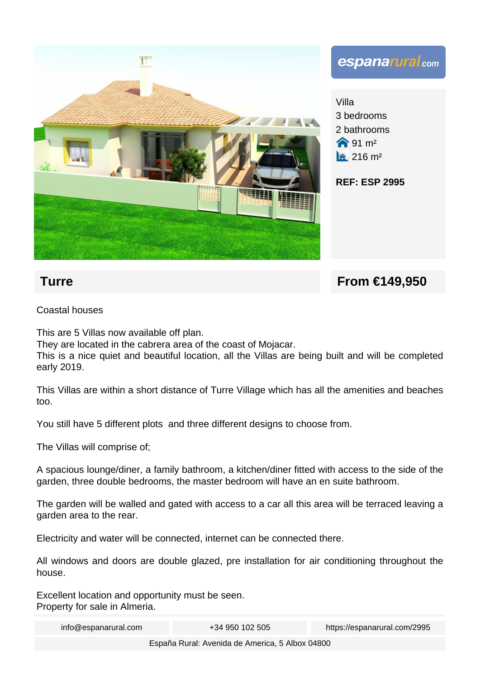

**Turre From €149.950** 

Coastal houses

This are 5 Villas now available off plan.

They are located in the cabrera area of the coast of Mojacar.

This is a nice quiet and beautiful location, all the Villas are being built and will be completed early 2019.

This Villas are within a short distance of Turre Village which has all the amenities and beaches too.

You still have 5 different plots and three different designs to choose from.

The Villas will comprise of;

A spacious lounge/diner, a family bathroom, a kitchen/diner fitted with access to the side of the garden, three double bedrooms, the master bedroom will have an en suite bathroom.

The garden will be walled and gated with access to a car all this area will be terraced leaving a garden area to the rear.

Electricity and water will be connected, internet can be connected there.

All windows and doors are double glazed, pre installation for air conditioning throughout the house.

Excellent location and opportunity must be seen. Property for sale in Almeria.

info@espanarural.com +34 950 102 505 https://espanarural.com/2995

España Rural: Avenida de America, 5 Albox 04800